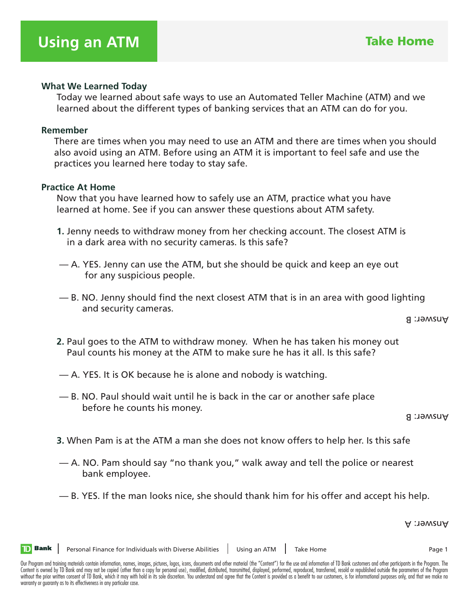#### **What We Learned Today**

 Today we learned about safe ways to use an Automated Teller Machine (ATM) and we learned about the different types of banking services that an ATM can do for you.

#### **Remember**

 There are times when you may need to use an ATM and there are times when you should also avoid using an ATM. Before using an ATM it is important to feel safe and use the practices you learned here today to stay safe.

#### **Practice At Home**

 Now that you have learned how to safely use an ATM, practice what you have learned at home. See if you can answer these questions about ATM safety.

- **1.** Jenny needs to withdraw money from her checking account. The closest ATM is in a dark area with no security cameras. Is this safe?
- A. YES. Jenny can use the ATM, but she should be quick and keep an eye out for any suspicious people.
- B. NO. Jenny should find the next closest ATM that is in an area with good lighting and security cameras.

Answer: B

- **2.** Paul goes to the ATM to withdraw money. When he has taken his money out Paul counts his money at the ATM to make sure he has it all. Is this safe?
- A. YES. It is OK because he is alone and nobody is watching.
- B. NO. Paul should wait until he is back in the car or another safe place before he counts his money.

Answer: B

- **3.** When Pam is at the ATM a man she does not know offers to help her. Is this safe
- A. NO. Pam should say "no thank you," walk away and tell the police or nearest bank employee.
- B. YES. If the man looks nice, she should thank him for his offer and accept his help.

Answer: A

**TD** Bank

Our Program and training materials contain information, names, images, pictures, logos, icons, documents and other material (the "Content") for the use and information of TD Bank customers and other participants in the Pro Content is owned by TD Bank and may not be copied (other than a copy for personal use), modified, distributed, transmitted, displayed, performed, reproduced, transferred, resold or republished outside the parameters of the without the prior written consent of TD Bank, which it may with hold in its sole discretion. You understand and agree that the Content is provided as a benefit to our customers, is for informational purposes only, and that warranty or guaranty as to its effectiveness in any particular case.